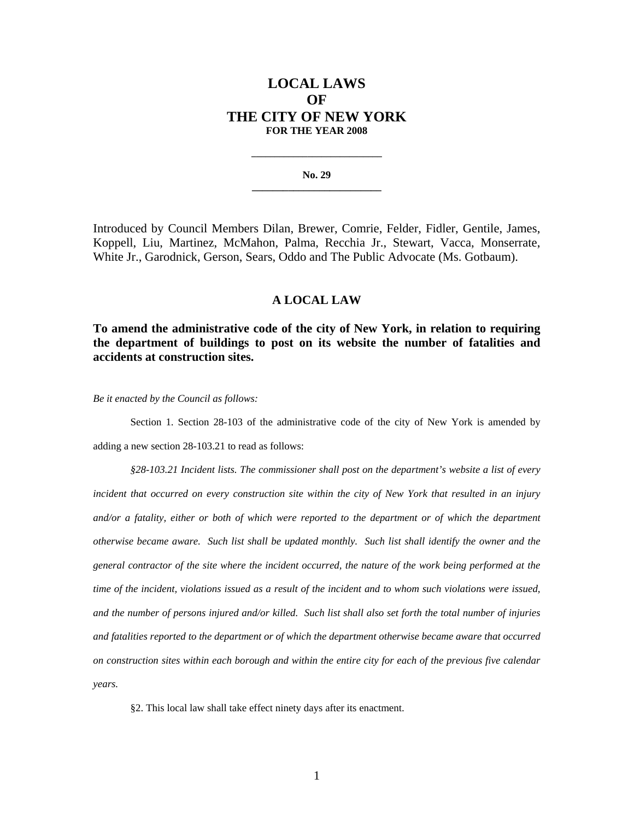## **LOCAL LAWS OF THE CITY OF NEW YORK FOR THE YEAR 2008**

**No. 29 \_\_\_\_\_\_\_\_\_\_\_\_\_\_\_\_\_\_\_\_\_\_\_\_\_**

**\_\_\_\_\_\_\_\_\_\_\_\_\_\_\_\_\_\_\_\_\_\_\_\_\_\_\_\_** 

Introduced by Council Members Dilan, Brewer, Comrie, Felder, Fidler, Gentile, James, Koppell, Liu, Martinez, McMahon, Palma, Recchia Jr., Stewart, Vacca, Monserrate, White Jr., Garodnick, Gerson, Sears, Oddo and The Public Advocate (Ms. Gotbaum).

## **A LOCAL LAW**

**To amend the administrative code of the city of New York, in relation to requiring the department of buildings to post on its website the number of fatalities and accidents at construction sites.** 

*Be it enacted by the Council as follows:* 

Section 1. Section 28-103 of the administrative code of the city of New York is amended by adding a new section 28-103.21 to read as follows:

*§28-103.21 Incident lists. The commissioner shall post on the department's website a list of every incident that occurred on every construction site within the city of New York that resulted in an injury*  and/or a fatality, either or both of which were reported to the department or of which the department *otherwise became aware. Such list shall be updated monthly. Such list shall identify the owner and the general contractor of the site where the incident occurred, the nature of the work being performed at the time of the incident, violations issued as a result of the incident and to whom such violations were issued, and the number of persons injured and/or killed. Such list shall also set forth the total number of injuries and fatalities reported to the department or of which the department otherwise became aware that occurred on construction sites within each borough and within the entire city for each of the previous five calendar years.* 

§2. This local law shall take effect ninety days after its enactment.